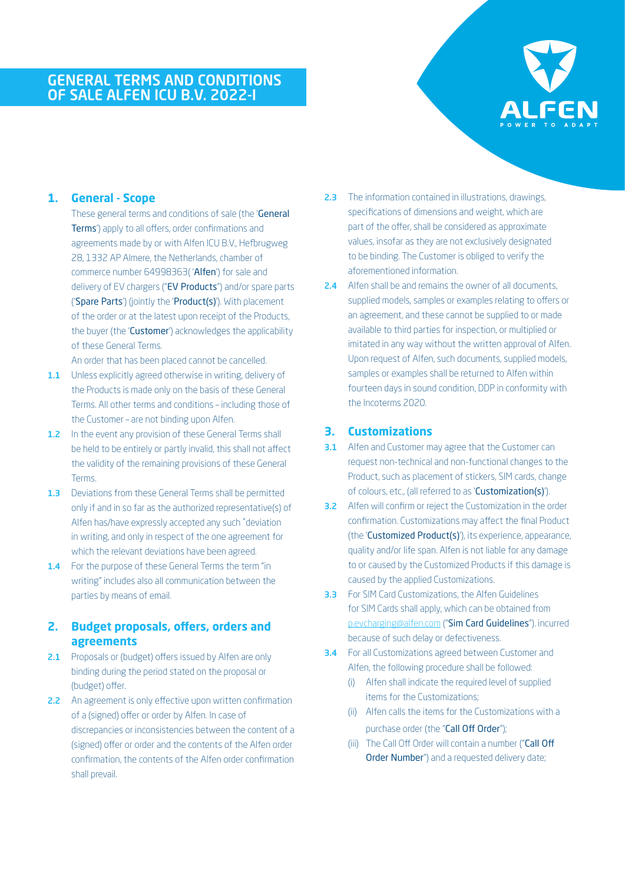# GENERAL TERMS AND CONDITIONS OF SALE ALFEN ICU B.V. 2022-I



## **1. General - Scope**

These general terms and conditions of sale (the 'General Terms') apply to all offers, order confirmations and agreements made by or with Alfen ICU B.V., Hefbrugweg 28, 1332 AP Almere, the Netherlands, chamber of commerce number 64998363( 'Alfen') for sale and delivery of EV chargers ("EV Products") and/or spare parts ('Spare Parts') (jointly the 'Product(s)'). With placement of the order or at the latest upon receipt of the Products, the buyer (the 'Customer') acknowledges the applicability of these General Terms.

An order that has been placed cannot be cancelled.

- 1.1 Unless explicitly agreed otherwise in writing, delivery of the Products is made only on the basis of these General Terms. All other terms and conditions – including those of the Customer – are not binding upon Alfen.
- 1.2 In the event any provision of these General Terms shall be held to be entirely or partly invalid, this shall not affect the validity of the remaining provisions of these General Terms.
- 1.3 Deviations from these General Terms shall be permitted only if and in so far as the authorized representative(s) of Alfen has/have expressly accepted any such ˚deviation in writing, and only in respect of the one agreement for which the relevant deviations have been agreed.
- 1.4 For the purpose of these General Terms the term "in writing" includes also all communication between the parties by means of email.

## **2. Budget proposals, offers, orders and agreements**

- 2.1 Proposals or (budget) offers issued by Alfen are only binding during the period stated on the proposal or (budget) offer.
- 2.2 An agreement is only effective upon written confirmation of a (signed) offer or order by Alfen. In case of discrepancies or inconsistencies between the content of a (signed) offer or order and the contents of the Alfen order confirmation, the contents of the Alfen order confirmation shall prevail.
- 2.3 The information contained in illustrations, drawings, specifications of dimensions and weight, which are part of the offer, shall be considered as approximate values, insofar as they are not exclusively designated to be binding. The Customer is obliged to verify the aforementioned information.
- 2.4 Alfen shall be and remains the owner of all documents, supplied models, samples or examples relating to offers or an agreement, and these cannot be supplied to or made available to third parties for inspection, or multiplied or imitated in any way without the written approval of Alfen. Upon request of Alfen, such documents, supplied models, samples or examples shall be returned to Alfen within fourteen days in sound condition, DDP in conformity with the Incoterms 2020.

### **3. Customizations**

- **3.1** Alfen and Customer may agree that the Customer can request non-technical and non-functional changes to the Product, such as placement of stickers, SIM cards, change of colours, etc., (all referred to as 'Customization(s)').
- **3.2** Alfen will confirm or reject the Customization in the order confirmation. Customizations may affect the final Product (the 'Customized Product(s)'), its experience, appearance, quality and/or life span. Alfen is not liable for any damage to or caused by the Customized Products if this damage is caused by the applied Customizations.
- **3.3** For SIM Card Customizations, the Alfen Guidelines for SIM Cards shall apply, which can be obtained from [p.evcharging@alfen.com](mailto:p.evcharging%40alfen.com?subject=) ("Sim Card Guidelines"). incurred because of such delay or defectiveness.
- 3.4 For all Customizations agreed between Customer and Alfen, the following procedure shall be followed:
	- (i) Alfen shall indicate the required level of supplied items for the Customizations;
	- (ii) Alfen calls the items for the Customizations with a purchase order (the "Call Off Order");
	- (iii) The Call Off Order will contain a number ("Call Off Order Number") and a requested delivery date;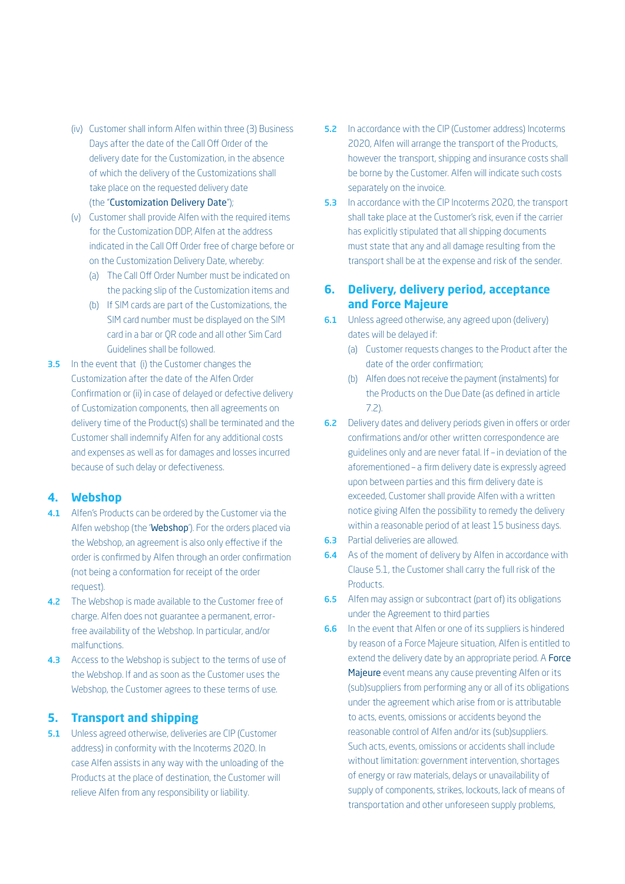- (iv) Customer shall inform Alfen within three (3) Business Days after the date of the Call Off Order of the delivery date for the Customization, in the absence of which the delivery of the Customizations shall take place on the requested delivery date (the "Customization Delivery Date");
- (v) Customer shall provide Alfen with the required items for the Customization DDP, Alfen at the address indicated in the Call Off Order free of charge before or on the Customization Delivery Date, whereby:
	- (a) The Call Off Order Number must be indicated on the packing slip of the Customization items and
	- (b) If SIM cards are part of the Customizations, the SIM card number must be displayed on the SIM card in a bar or QR code and all other Sim Card Guidelines shall be followed.
- **3.5** In the event that (i) the Customer changes the Customization after the date of the Alfen Order Confirmation or (ii) in case of delayed or defective delivery of Customization components, then all agreements on delivery time of the Product(s) shall be terminated and the Customer shall indemnify Alfen for any additional costs and expenses as well as for damages and losses incurred because of such delay or defectiveness.

#### **4. Webshop**

- 4.1 Alfen's Products can be ordered by the Customer via the Alfen webshop (the 'Webshop'). For the orders placed via the Webshop, an agreement is also only effective if the order is confirmed by Alfen through an order confirmation (not being a conformation for receipt of the order request).
- 4.2 The Webshop is made available to the Customer free of charge. Alfen does not guarantee a permanent, errorfree availability of the Webshop. In particular, and/or malfunctions.
- 4.3 Access to the Webshop is subject to the terms of use of the Webshop. If and as soon as the Customer uses the Webshop, the Customer agrees to these terms of use.

#### **5. Transport and shipping**

5.1 Unless agreed otherwise, deliveries are CIP (Customer address) in conformity with the Incoterms 2020. In case Alfen assists in any way with the unloading of the Products at the place of destination, the Customer will relieve Alfen from any responsibility or liability.

- **5.2** In accordance with the CIP (Customer address) Incoterms 2020, Alfen will arrange the transport of the Products, however the transport, shipping and insurance costs shall be borne by the Customer. Alfen will indicate such costs separately on the invoice.
- **5.3** In accordance with the CIP Incoterms 2020, the transport shall take place at the Customer's risk, even if the carrier has explicitly stipulated that all shipping documents must state that any and all damage resulting from the transport shall be at the expense and risk of the sender.

## **6. Delivery, delivery period, acceptance and Force Majeure**

- **6.1** Unless agreed otherwise, any agreed upon (delivery) dates will be delayed if:
	- (a) Customer requests changes to the Product after the date of the order confirmation;
	- (b) Alfen does not receive the payment (instalments) for the Products on the Due Date (as defined in article 7.2).
- 6.2 Delivery dates and delivery periods given in offers or order confirmations and/or other written correspondence are guidelines only and are never fatal. If – in deviation of the aforementioned – a firm delivery date is expressly agreed upon between parties and this firm delivery date is exceeded, Customer shall provide Alfen with a written notice giving Alfen the possibility to remedy the delivery within a reasonable period of at least 15 business days.
- 6.3 Partial deliveries are allowed.
- **6.4** As of the moment of delivery by Alfen in accordance with Clause 5.1, the Customer shall carry the full risk of the **Products**
- **6.5** Alfen may assign or subcontract (part of) its obligations under the Agreement to third parties
- **6.6** In the event that Alfen or one of its suppliers is hindered by reason of a Force Majeure situation, Alfen is entitled to extend the delivery date by an appropriate period. A **Force** Majeure event means any cause preventing Alfen or its (sub)suppliers from performing any or all of its obligations under the agreement which arise from or is attributable to acts, events, omissions or accidents beyond the reasonable control of Alfen and/or its (sub)suppliers. Such acts, events, omissions or accidents shall include without limitation: government intervention, shortages of energy or raw materials, delays or unavailability of supply of components, strikes, lockouts, lack of means of transportation and other unforeseen supply problems,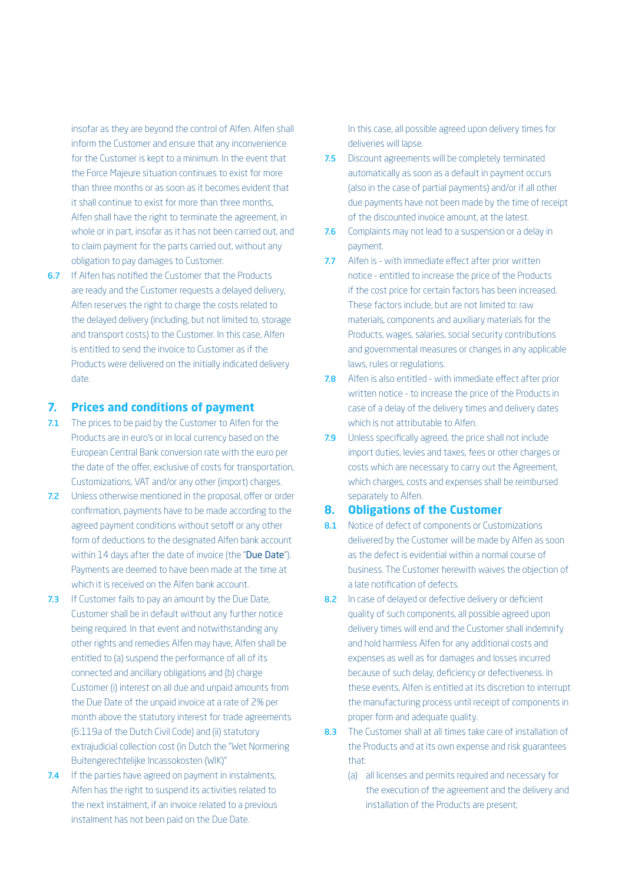insofar as they are beyond the control of Alfen. Alfen shall inform the Customer and ensure that any inconvenience for the Customer is kept to a minimum. In the event that the Force Majeure situation continues to exist for more than three months or as soon as it becomes evident that it shall continue to exist for more than three months, Alfen shall have the right to terminate the agreement, in whole or in part, insofar as it has not been carried out, and to claim payment for the parts carried out, without any obligation to pay damages to Customer.

**6.7** If Alfen has notified the Customer that the Products are ready and the Customer requests a delayed delivery, Alfen reserves the right to charge the costs related to the delayed delivery (including, but not limited to, storage and transport costs) to the Customer. In this case, Alfen is entitled to send the invoice to Customer as if the Products were delivered on the initially indicated delivery date.

#### **7. Prices and conditions of payment**

- 7.1 The prices to be paid by the Customer to Alfen for the Products are in euro's or in local currency based on the European Central Bank conversion rate with the euro per the date of the offer, exclusive of costs for transportation, Customizations, VAT and/or any other (import) charges.
- 7.2 Unless otherwise mentioned in the proposal, offer or order confirmation, payments have to be made according to the agreed payment conditions without setoff or any other form of deductions to the designated Alfen bank account within 14 days after the date of invoice (the "Due Date"). Payments are deemed to have been made at the time at which it is received on the Alfen bank account.
- 7.3 If Customer fails to pay an amount by the Due Date, Customer shall be in default without any further notice being required. In that event and notwithstanding any other rights and remedies Alfen may have, Alfen shall be entitled to (a) suspend the performance of all of its connected and ancillary obligations and (b) charge Customer (i) interest on all due and unpaid amounts from the Due Date of the unpaid invoice at a rate of 2% per month above the statutory interest for trade agreements (6:119a of the Dutch Civil Code) and (ii) statutory extrajudicial collection cost (in Dutch the "Wet Normering Buitengerechtelijke Incassokosten (WIK)"
- 7.4 If the parties have agreed on payment in instalments, Alfen has the right to suspend its activities related to the next instalment, if an invoice related to a previous instalment has not been paid on the Due Date.

In this case, all possible agreed upon delivery times for deliveries will lapse.

- 7.5 Discount agreements will be completely terminated automatically as soon as a default in payment occurs (also in the case of partial payments) and/or if all other due payments have not been made by the time of receipt of the discounted invoice amount, at the latest.
- 7.6 Complaints may not lead to a suspension or a delay in payment.
- 7.7 Alfen is with immediate effect after prior written notice - entitled to increase the price of the Products if the cost price for certain factors has been increased. These factors include, but are not limited to: raw materials, components and auxiliary materials for the Products, wages, salaries, social security contributions and governmental measures or changes in any applicable laws, rules or regulations.
- 7.8 Alfen is also entitled with immediate effect after prior written notice - to increase the price of the Products in case of a delay of the delivery times and delivery dates which is not attributable to Alfen.
- 7.9 Unless specifically agreed, the price shall not include import duties, levies and taxes, fees or other charges or costs which are necessary to carry out the Agreement, which charges, costs and expenses shall be reimbursed separately to Alfen.

#### **8. Obligations of the Customer**

- 8.1 Notice of defect of components or Customizations delivered by the Customer will be made by Alfen as soon as the defect is evidential within a normal course of business. The Customer herewith waives the objection of a late notification of defects.
- 8.2 In case of delayed or defective delivery or deficient quality of such components, all possible agreed upon delivery times will end and the Customer shall indemnify and hold harmless Alfen for any additional costs and expenses as well as for damages and losses incurred because of such delay, deficiency or defectiveness. In these events, Alfen is entitled at its discretion to interrupt the manufacturing process until receipt of components in proper form and adequate quality.
- 8.3 The Customer shall at all times take care of installation of the Products and at its own expense and risk guarantees that:
	- (a) all licenses and permits required and necessary for the execution of the agreement and the delivery and installation of the Products are present;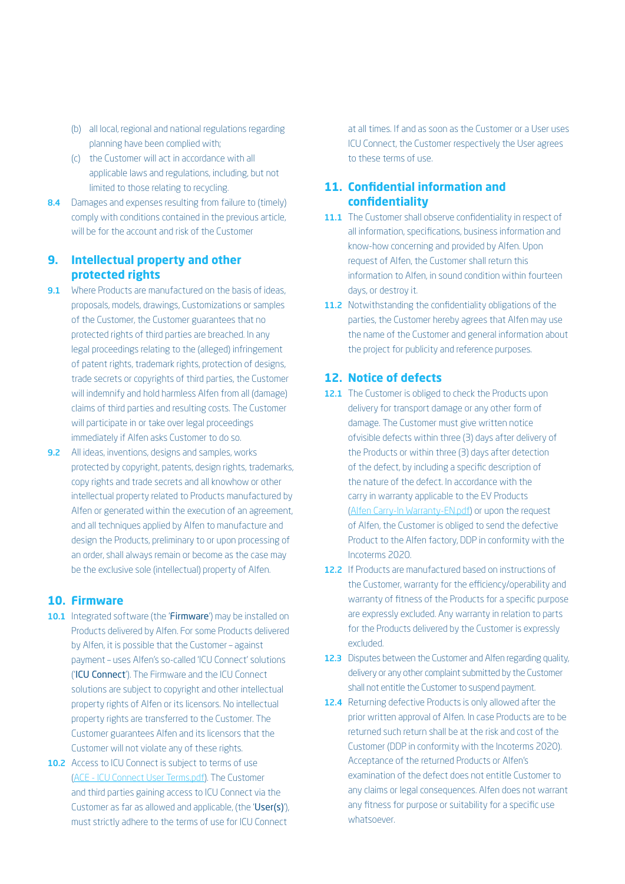- (b) all local, regional and national regulations regarding planning have been complied with;
- (c) the Customer will act in accordance with all applicable laws and regulations, including, but not limited to those relating to recycling.
- 8.4 Damages and expenses resulting from failure to (timely) comply with conditions contained in the previous article, will be for the account and risk of the Customer

### **9. Intellectual property and other protected rights**

- 9.1 Where Products are manufactured on the basis of ideas, proposals, models, drawings, Customizations or samples of the Customer, the Customer guarantees that no protected rights of third parties are breached. In any legal proceedings relating to the (alleged) infringement of patent rights, trademark rights, protection of designs, trade secrets or copyrights of third parties, the Customer will indemnify and hold harmless Alfen from all (damage) claims of third parties and resulting costs. The Customer will participate in or take over legal proceedings immediately if Alfen asks Customer to do so.
- 9.2 All ideas, inventions, designs and samples, works protected by copyright, patents, design rights, trademarks, copy rights and trade secrets and all knowhow or other intellectual property related to Products manufactured by Alfen or generated within the execution of an agreement, and all techniques applied by Alfen to manufacture and design the Products, preliminary to or upon processing of an order, shall always remain or become as the case may be the exclusive sole (intellectual) property of Alfen.

### **10. Firmware**

- 10.1 Integrated software (the 'Firmware') may be installed on Products delivered by Alfen. For some Products delivered by Alfen, it is possible that the Customer – against payment – uses Alfen's so-called 'ICU Connect' solutions ('ICU Connect'). The Firmware and the ICU Connect solutions are subject to copyright and other intellectual property rights of Alfen or its licensors. No intellectual property rights are transferred to the Customer. The Customer guarantees Alfen and its licensors that the Customer will not violate any of these rights.
- 10.2 Access to ICU Connect is subject to terms of use ([ACE - ICU Connect User Terms.pdf\)](https://alfen.com/media/663). The Customer and third parties gaining access to ICU Connect via the Customer as far as allowed and applicable, (the 'User(s)'), must strictly adhere to the terms of use for ICU Connect

at all times. If and as soon as the Customer or a User uses ICU Connect, the Customer respectively the User agrees to these terms of use.

### **11. Confidential information and confidentiality**

- 11.1 The Customer shall observe confidentiality in respect of all information, specifications, business information and know-how concerning and provided by Alfen. Upon request of Alfen, the Customer shall return this information to Alfen, in sound condition within fourteen days, or destroy it.
- 11.2 Notwithstanding the confidentiality obligations of the parties, the Customer hereby agrees that Alfen may use the name of the Customer and general information about the project for publicity and reference purposes.

#### **12. Notice of defects**

- 12.1 The Customer is obliged to check the Products upon delivery for transport damage or any other form of damage. The Customer must give written notice ofvisible defects within three (3) days after delivery of the Products or within three (3) days after detection of the defect, by including a specific description of the nature of the defect. In accordance with the carry in warranty applicable to the EV Products ([Alfen Carry-In Warranty-EN.pdf\)](https://alfen.com/media/710) or upon the request of Alfen, the Customer is obliged to send the defective Product to the Alfen factory, DDP in conformity with the Incoterms 2020.
- 12.2 If Products are manufactured based on instructions of the Customer, warranty for the efficiency/operability and warranty of fitness of the Products for a specific purpose are expressly excluded. Any warranty in relation to parts for the Products delivered by the Customer is expressly excluded.
- 12.3 Disputes between the Customer and Alfen regarding quality, delivery or any other complaint submitted by the Customer shall not entitle the Customer to suspend payment.
- 12.4 Returning defective Products is only allowed after the prior written approval of Alfen. In case Products are to be returned such return shall be at the risk and cost of the Customer (DDP in conformity with the Incoterms 2020). Acceptance of the returned Products or Alfen's examination of the defect does not entitle Customer to any claims or legal consequences. Alfen does not warrant any fitness for purpose or suitability for a specific use whatsoever.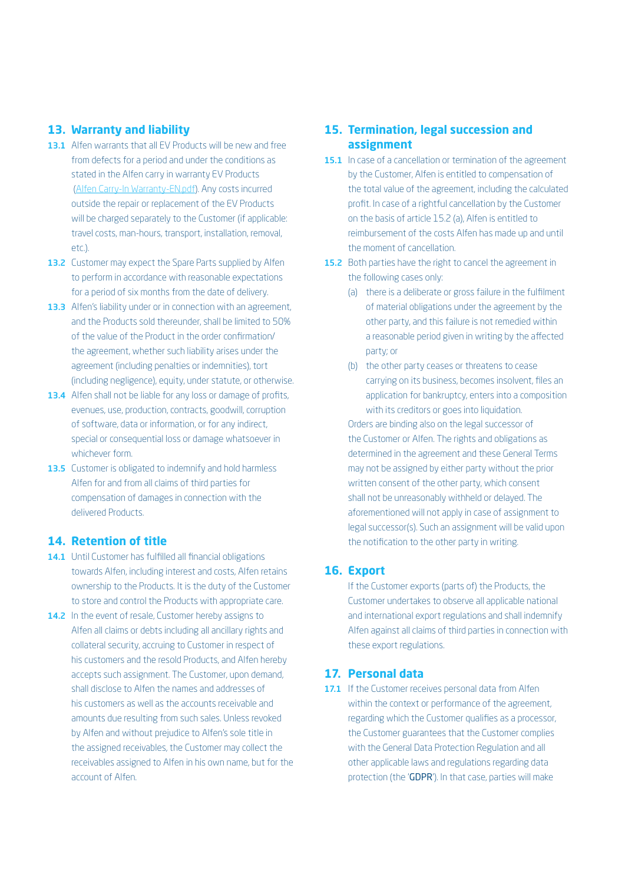#### **13. Warranty and liability**

- 13.1 Alfen warrants that all EV Products will be new and free from defects for a period and under the conditions as stated in the Alfen carry in warranty EV Products ([Alfen Carry-In Warranty-EN.pdf](https://alfen.com/media/710)). Any costs incurred outside the repair or replacement of the EV Products will be charged separately to the Customer (if applicable: travel costs, man-hours, transport, installation, removal, etc.).
- 13.2 Customer may expect the Spare Parts supplied by Alfen to perform in accordance with reasonable expectations for a period of six months from the date of delivery.
- 13.3 Alfen's liability under or in connection with an agreement, and the Products sold thereunder, shall be limited to 50% of the value of the Product in the order confirmation/ the agreement, whether such liability arises under the agreement (including penalties or indemnities), tort (including negligence), equity, under statute, or otherwise.
- 13.4 Alfen shall not be liable for any loss or damage of profits, evenues, use, production, contracts, goodwill, corruption of software, data or information, or for any indirect, special or consequential loss or damage whatsoever in whichever form.
- 13.5 Customer is obligated to indemnify and hold harmless Alfen for and from all claims of third parties for compensation of damages in connection with the delivered Products.

### **14. Retention of title**

- 14.1 Until Customer has fulfilled all financial obligations towards Alfen, including interest and costs, Alfen retains ownership to the Products. It is the duty of the Customer to store and control the Products with appropriate care.
- 14.2 In the event of resale, Customer hereby assigns to Alfen all claims or debts including all ancillary rights and collateral security, accruing to Customer in respect of his customers and the resold Products, and Alfen hereby accepts such assignment. The Customer, upon demand, shall disclose to Alfen the names and addresses of his customers as well as the accounts receivable and amounts due resulting from such sales. Unless revoked by Alfen and without prejudice to Alfen's sole title in the assigned receivables, the Customer may collect the receivables assigned to Alfen in his own name, but for the account of Alfen.

### **15. Termination, legal succession and assignment**

- 15.1 In case of a cancellation or termination of the agreement by the Customer, Alfen is entitled to compensation of the total value of the agreement, including the calculated profit. In case of a rightful cancellation by the Customer on the basis of article 15.2 (a), Alfen is entitled to reimbursement of the costs Alfen has made up and until the moment of cancellation.
- 15.2 Both parties have the right to cancel the agreement in the following cases only:
	- (a) there is a deliberate or gross failure in the fulfilment of material obligations under the agreement by the other party, and this failure is not remedied within a reasonable period given in writing by the affected party; or
	- (b) the other party ceases or threatens to cease carrying on its business, becomes insolvent, files an application for bankruptcy, enters into a composition with its creditors or goes into liquidation.

Orders are binding also on the legal successor of the Customer or Alfen. The rights and obligations as determined in the agreement and these General Terms may not be assigned by either party without the prior written consent of the other party, which consent shall not be unreasonably withheld or delayed. The aforementioned will not apply in case of assignment to legal successor(s). Such an assignment will be valid upon the notification to the other party in writing.

#### **16. Export**

If the Customer exports (parts of) the Products, the Customer undertakes to observe all applicable national and international export regulations and shall indemnify Alfen against all claims of third parties in connection with these export regulations.

#### **17. Personal data**

17.1 If the Customer receives personal data from Alfen within the context or performance of the agreement, regarding which the Customer qualifies as a processor, the Customer guarantees that the Customer complies with the General Data Protection Regulation and all other applicable laws and regulations regarding data protection (the 'GDPR'). In that case, parties will make